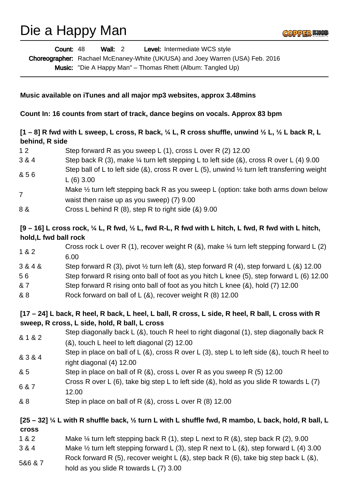# Die a Happy Man



Wall: 2 Level: Intermediate WCS style Choreographer: Rachael McEnaney-White (UK/USA) and Joey Warren (USA) Feb. 2016 Count: 48

Music: "Die A Happy Man" – Thomas Rhett (Album: Tangled Up)

#### **Music available on iTunes and all major mp3 websites, approx 3.48mins**

**Count In: 16 counts from start of track, dance begins on vocals. Approx 83 bpm**

## **[1 – 8] R fwd with L sweep, L cross, R back, ¼ L, R cross shuffle, unwind ½ L, ½ L back R, L behind, R side**

- 1 2 Step forward R as you sweep L (1), cross L over R (2) 12.00
- 3 & 4 Step back R (3), make ¼ turn left stepping L to left side (&), cross R over L (4) 9.00
- & 5 6 Step ball of L to left side (&), cross R over L (5), unwind 1/2 turn left transferring weight L (6) 3.00
- 7 Make  $\frac{1}{2}$  turn left stepping back R as you sweep L (option: take both arms down below waist then raise up as you sweep) (7) 9.00
- 8 & Cross L behind R (8), step R to right side (&) 9.00

## **[9 – 16] L cross rock, ¼ L, R fwd, ½ L, fwd R-L, R fwd with L hitch, L fwd, R fwd with L hitch, hold,L fwd ball rock**

- 1 & 2 Cross rock L over R (1), recover weight R  $(8)$ , make  $\frac{1}{4}$  turn left stepping forward L  $(2)$ 6.00
- $3 & 4 & 8$  Step forward R (3), pivot  $\frac{1}{2}$  turn left (&), step forward R (4), step forward L (&) 12.00
- 5 6 Step forward R rising onto ball of foot as you hitch L knee (5), step forward L (6) 12.00
- & 7 Step forward R rising onto ball of foot as you hitch L knee (&), hold (7) 12.00
- & 8 Rock forward on ball of L (&), recover weight R (8) 12.00

## **[17 – 24] L back, R heel, R back, L heel, L ball, R cross, L side, R heel, R ball, L cross with R sweep, R cross, L side, hold, R ball, L cross**

- & 1 & 2 Step diagonally back L (&), touch R heel to right diagonal (1), step diagonally back R (&), touch L heel to left diagonal (2) 12.00
- & 3 & 4 Step in place on ball of L (&), cross R over L (3), step L to left side (&), touch R heel to right diagonal (4) 12.00
- & 5 Step in place on ball of R (&), cross L over R as you sweep R (5) 12.00
- 6 & 7 Cross R over L (6), take big step L to left side  $(8)$ , hold as you slide R towards L (7) 12.00
- & 8 Step in place on ball of R (&), cross L over R (8) 12.00

## **[25 – 32] ¼ L with R shuffle back, ½ turn L with L shuffle fwd, R mambo, L back, hold, R ball, L cross**

- 1 & 2 Make ¼ turn left stepping back R (1), step L next to R (&), step back R (2), 9.00
- 3 & 4 Make ½ turn left stepping forward L (3), step R next to L (&), step forward L (4) 3.00
- 5&6 & 7 Rock forward R (5), recover weight L  $(8)$ , step back R  $(6)$ , take big step back L  $(8)$ ,
- hold as you slide R towards L (7) 3.00